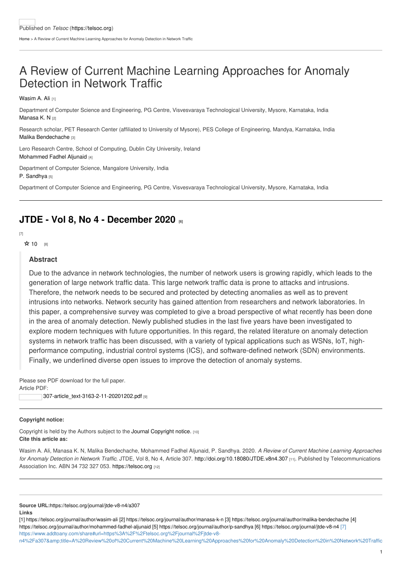## A Review of Current Machine Learning Approaches for Anomaly Detection in Network Traffic

[Wasim](https://telsoc.org/journal/author/wasim-ali) A. Ali [1]

Department of Computer Science and Engineering, PG Centre, Visvesvaraya Technological University, Mysore, Karnataka, India [Manasa](https://telsoc.org/journal/author/manasa-k-n) K. N [2]

Research scholar, PET Research Center (affiliated to University of Mysore), PES College of Engineering, Mandya, Karnataka, India Malika [Bendechache](https://telsoc.org/journal/author/malika-bendechache) [3]

Lero Research Centre, School of Computing, Dublin City University, Ireland [Mohammed](https://telsoc.org/journal/author/mohammed-fadhel-aljunaid) Fadhel Aljunaid [4]

Department of Computer Science, Mangalore University, India P. [Sandhya](https://telsoc.org/journal/author/p-sandhya) [5]

Department of Computer Science and Engineering, PG Centre, Visvesvaraya Technological University, Mysore, Karnataka, India

## **JTDE - Vol 8, No 4 - [December](https://telsoc.org/journal/jtde-v8-n4) 2020 [6]**

[7]

☆ [10](https://telsoc.org/printpdf/3061?rate=eQxnSbbvD_xh6NI1hPq_dlQZDaTa9JiAnj0M6K4GlQQ) [8]

## **Abstract**

Due to the advance in network technologies, the number of network users is growing rapidly, which leads to the generation of large network traffic data. This large network traffic data is prone to attacks and intrusions. Therefore, the network needs to be secured and protected by detecting anomalies as well as to prevent intrusions into networks. Network security has gained attention from researchers and network laboratories. In this paper, a comprehensive survey was completed to give a broad perspective of what recently has been done in the area of anomaly detection. Newly published studies in the last five years have been investigated to explore modern techniques with future opportunities. In this regard, the related literature on anomaly detection systems in network traffic has been discussed, with a variety of typical applications such as WSNs, IoT, highperformance computing, industrial control systems (ICS), and software-defined network (SDN) environments. Finally, we underlined diverse open issues to improve the detection of anomaly systems.

Please see PDF download for the full paper. Article PDF:

[307-article\\_text-3163-2-11-20201202.pdf](https://telsoc.org/sites/default/files/journal_article/307-article_text-3163-2-11-20201202.pdf) [9]

## **Copyright notice:**

Copyright is held by the Authors subject to the Journal [Copyright](https://telsoc.org/copyright) notice. [10] **Cite this article as:**

Wasim A. Ali, Manasa K. N, Malika Bendechache, Mohammed Fadhel Aljunaid, P. Sandhya. 2020. *A Review of Current Machine Learning Approaches for Anomaly Detection in Network Traffic*. JTDE, Vol 8, No 4, Article 307. [http://doi.org/10.18080/JTDE.v8n4.307](http://doi.org/10.18080/jtde.v8n4.307) [11]. Published by Telecommunications Association Inc. ABN 34 732 327 053. <https://telsoc.org> [12]

**Source URL:**<https://telsoc.org/journal/jtde-v8-n4/a307> **Links**

[1] <https://telsoc.org/journal/author/wasim-ali> [2] <https://telsoc.org/journal/author/manasa-k-n> [3] <https://telsoc.org/journal/author/malika-bendechache> [4] <https://telsoc.org/journal/author/mohammed-fadhel-aljunaid> [5] <https://telsoc.org/journal/author/p-sandhya> [6] <https://telsoc.org/journal/jtde-v8-n4> [7] https://www.addtoany.com/share#url=https%3A%2F%2Ftelsoc.org%2Fjournal%2Fjtde-v8-

n4%2Fa307&title=A%20Review%20of%20Current%20Machine%20Learning%20Approaches%20for%20Anomaly%20Detection%20in%20Network%20Traffic